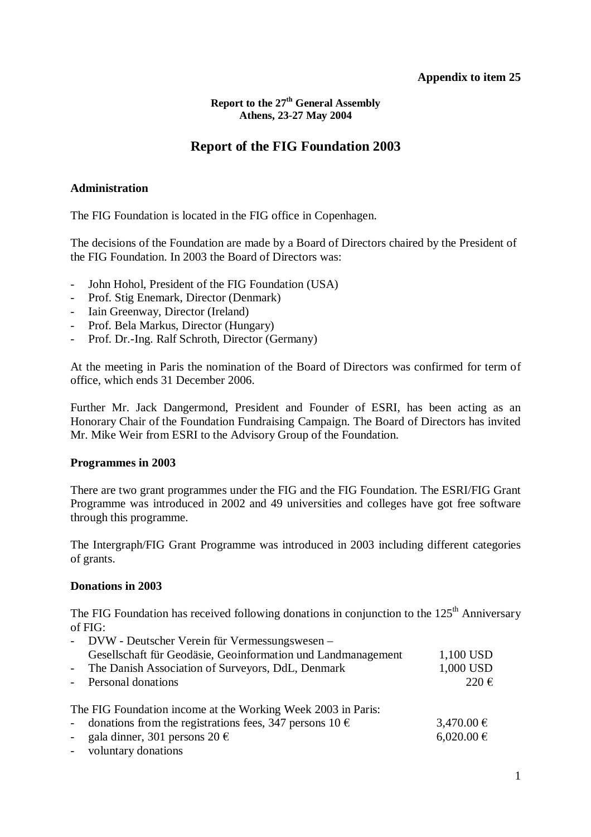## **Appendix to item 25**

**Report to the 27th General Assembly Athens, 23-27 May 2004**

# **Report of the FIG Foundation 2003**

## **Administration**

The FIG Foundation is located in the FIG office in Copenhagen.

The decisions of the Foundation are made by a Board of Directors chaired by the President of the FIG Foundation. In 2003 the Board of Directors was:

- John Hohol, President of the FIG Foundation (USA)
- Prof. Stig Enemark, Director (Denmark)
- Iain Greenway, Director (Ireland)
- Prof. Bela Markus, Director (Hungary)
- Prof. Dr.-Ing. Ralf Schroth, Director (Germany)

At the meeting in Paris the nomination of the Board of Directors was confirmed for term of office, which ends 31 December 2006.

Further Mr. Jack Dangermond, President and Founder of ESRI, has been acting as an Honorary Chair of the Foundation Fundraising Campaign. The Board of Directors has invited Mr. Mike Weir from ESRI to the Advisory Group of the Foundation.

#### **Programmes in 2003**

There are two grant programmes under the FIG and the FIG Foundation. The ESRI/FIG Grant Programme was introduced in 2002 and 49 universities and colleges have got free software through this programme.

The Intergraph/FIG Grant Programme was introduced in 2003 including different categories of grants.

# **Donations in 2003**

The FIG Foundation has received following donations in conjunction to the  $125<sup>th</sup>$  Anniversary of FIG:

| - DVW - Deutscher Verein für Vermessungswesen –               |                    |
|---------------------------------------------------------------|--------------------|
| Gesellschaft für Geodäsie, Geoinformation und Landmanagement  | 1,100 USD          |
| - The Danish Association of Surveyors, DdL, Denmark           | 1,000 USD          |
| - Personal donations                                          | $220 \text{ } \in$ |
| The FIG Foundation income at the Working Week 2003 in Paris:  |                    |
| - donations from the registrations fees, 347 persons $10 \in$ | $3,470.00 \in$     |
| - gala dinner, 301 persons $20 \text{ } \in$                  | $6,020.00 \in$     |
| - voluntary donations                                         |                    |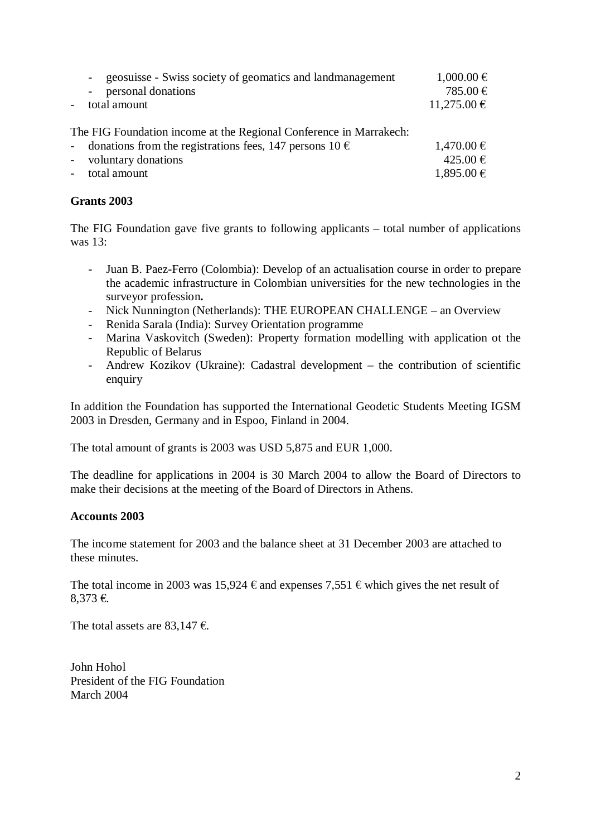|                           | geosuisse - Swiss society of geomatics and landmanagement<br>$\sim$<br>personal donations<br>$\overline{\phantom{a}}$<br>total amount | $1,000.00 \in$<br>785.00 €<br>$11,275.00 \in$ |
|---------------------------|---------------------------------------------------------------------------------------------------------------------------------------|-----------------------------------------------|
|                           | The FIG Foundation income at the Regional Conference in Marrakech:<br>$1,470.00 \in$<br>425.00 €<br>1,895.00 €                        |                                               |
| $\mathbf{L}^{\text{max}}$ | donations from the registrations fees, 147 persons 10 $\epsilon$                                                                      |                                               |
|                           | - voluntary donations                                                                                                                 |                                               |
|                           | - total amount                                                                                                                        |                                               |
|                           |                                                                                                                                       |                                               |

## **Grants 2003**

The FIG Foundation gave five grants to following applicants – total number of applications was 13:

- Juan B. Paez-Ferro (Colombia): Develop of an actualisation course in order to prepare the academic infrastructure in Colombian universities for the new technologies in the surveyor profession**.**
- Nick Nunnington (Netherlands): THE EUROPEAN CHALLENGE an Overview
- Renida Sarala (India): Survey Orientation programme
- Marina Vaskovitch (Sweden): Property formation modelling with application ot the Republic of Belarus
- Andrew Kozikov (Ukraine): Cadastral development the contribution of scientific enquiry

In addition the Foundation has supported the International Geodetic Students Meeting IGSM 2003 in Dresden, Germany and in Espoo, Finland in 2004.

The total amount of grants is 2003 was USD 5,875 and EUR 1,000.

The deadline for applications in 2004 is 30 March 2004 to allow the Board of Directors to make their decisions at the meeting of the Board of Directors in Athens.

#### **Accounts 2003**

The income statement for 2003 and the balance sheet at 31 December 2003 are attached to these minutes.

The total income in 2003 was 15,924  $\epsilon$  and expenses 7,551  $\epsilon$  which gives the net result of 8,373 €.

The total assets are 83,147  $\epsilon$ .

John Hohol President of the FIG Foundation March 2004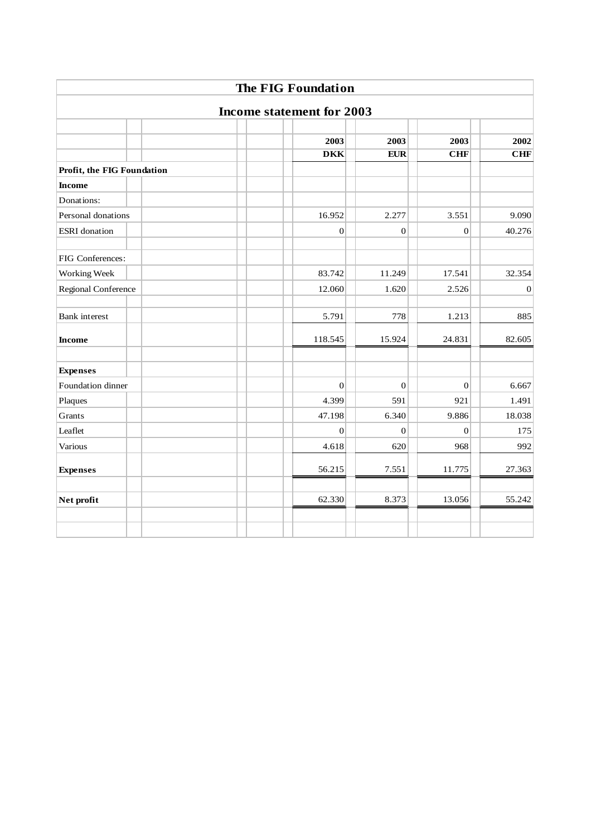|                                  | <b>The FIG Foundation</b> |                  |                  |                  |  |  |  |
|----------------------------------|---------------------------|------------------|------------------|------------------|--|--|--|
| <b>Income statement for 2003</b> |                           |                  |                  |                  |  |  |  |
|                                  |                           |                  |                  |                  |  |  |  |
|                                  | 2003                      | 2003             | 2003             | 2002             |  |  |  |
|                                  | <b>DKK</b>                | <b>EUR</b>       | CHF              | CHF              |  |  |  |
| Profit, the FIG Foundation       |                           |                  |                  |                  |  |  |  |
| <b>Income</b>                    |                           |                  |                  |                  |  |  |  |
| Donations:                       |                           |                  |                  |                  |  |  |  |
| Personal donations               | 16.952                    | 2.277            | 3.551            | 9.090            |  |  |  |
| <b>ESRI</b> donation             | $\overline{0}$            | $\overline{0}$   | $\mathbf{0}$     | 40.276           |  |  |  |
|                                  |                           |                  |                  |                  |  |  |  |
| FIG Conferences:                 |                           |                  |                  |                  |  |  |  |
| Working Week                     | 83.742                    | 11.249           | 17.541           | 32.354           |  |  |  |
| Regional Conference              | 12.060                    | 1.620            | 2.526            | $\boldsymbol{0}$ |  |  |  |
| <b>Bank</b> interest             | 5.791                     | 778              | 1.213            | 885              |  |  |  |
| <b>Income</b>                    | 118.545                   | 15.924           | 24.831           | 82.605           |  |  |  |
| <b>Expenses</b>                  |                           |                  |                  |                  |  |  |  |
| Foundation dinner                | $\theta$                  | $\boldsymbol{0}$ | $\boldsymbol{0}$ | 6.667            |  |  |  |
| Plaques                          | 4.399                     | 591              | 921              | 1.491            |  |  |  |
| Grants                           | 47.198                    | 6.340            | 9.886            | 18.038           |  |  |  |
| Leaflet                          | $\theta$                  | $\overline{0}$   | $\Omega$         | 175              |  |  |  |
| Various                          | 4.618                     | 620              | 968              | 992              |  |  |  |
| <b>Expenses</b>                  | 56.215                    | 7.551            | 11.775           | 27.363           |  |  |  |
| Net profit                       | 62.330                    | 8.373            | 13.056           | 55.242           |  |  |  |
|                                  |                           |                  |                  |                  |  |  |  |
|                                  |                           |                  |                  |                  |  |  |  |